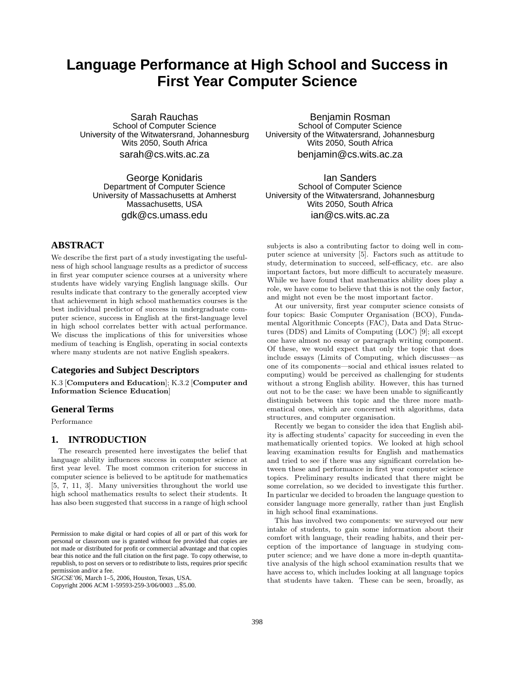# **Language Performance at High School and Success in First Year Computer Science**

Sarah Rauchas School of Computer Science University of the Witwatersrand, Johannesburg Wits 2050, South Africa sarah@cs.wits.ac.za

George Konidaris Department of Computer Science University of Massachusetts at Amherst Massachusetts, USA gdk@cs.umass.edu

Benjamin Rosman School of Computer Science University of the Witwatersrand, Johannesburg Wits 2050, South Africa benjamin@cs.wits.ac.za

Ian Sanders School of Computer Science University of the Witwatersrand, Johannesburg Wits 2050, South Africa ian@cs.wits.ac.za

# **ABSTRACT**

We describe the first part of a study investigating the usefulness of high school language results as a predictor of success in first year computer science courses at a university where students have widely varying English language skills. Our results indicate that contrary to the generally accepted view that achievement in high school mathematics courses is the best individual predictor of success in undergraduate computer science, success in English at the first-language level in high school correlates better with actual performance. We discuss the implications of this for universities whose medium of teaching is English, operating in social contexts where many students are not native English speakers.

## **Categories and Subject Descriptors**

K.3 [Computers and Education]; K.3.2 [Computer and Information Science Education]

## **General Terms**

Performance

## **1. INTRODUCTION**

The research presented here investigates the belief that language ability influences success in computer science at first year level. The most common criterion for success in computer science is believed to be aptitude for mathematics [5, 7, 11, 3]. Many universities throughout the world use high school mathematics results to select their students. It has also been suggested that success in a range of high school

*SIGCSE'06,* March 1–5, 2006, Houston, Texas, USA.

Copyright 2006 ACM 1-59593-259-3/06/0003 ...\$5.00.

subjects is also a contributing factor to doing well in computer science at university [5]. Factors such as attitude to study, determination to succeed, self-efficacy, etc. are also important factors, but more difficult to accurately measure. While we have found that mathematics ability does play a role, we have come to believe that this is not the only factor, and might not even be the most important factor.

At our university, first year computer science consists of four topics: Basic Computer Organisation (BCO), Fundamental Algorithmic Concepts (FAC), Data and Data Structures (DDS) and Limits of Computing (LOC) [9]; all except one have almost no essay or paragraph writing component. Of these, we would expect that only the topic that does include essays (Limits of Computing, which discusses—as one of its components—social and ethical issues related to computing) would be perceived as challenging for students without a strong English ability. However, this has turned out not to be the case: we have been unable to significantly distinguish between this topic and the three more mathematical ones, which are concerned with algorithms, data structures, and computer organisation.

Recently we began to consider the idea that English ability is affecting students' capacity for succeeding in even the mathematically oriented topics. We looked at high school leaving examination results for English and mathematics and tried to see if there was any significant correlation between these and performance in first year computer science topics. Preliminary results indicated that there might be some correlation, so we decided to investigate this further. In particular we decided to broaden the language question to consider language more generally, rather than just English in high school final examinations.

This has involved two components: we surveyed our new intake of students, to gain some information about their comfort with language, their reading habits, and their perception of the importance of language in studying computer science; and we have done a more in-depth quantitative analysis of the high school examination results that we have access to, which includes looking at all language topics that students have taken. These can be seen, broadly, as

Permission to make digital or hard copies of all or part of this work for personal or classroom use is granted without fee provided that copies are not made or distributed for profit or commercial advantage and that copies bear this notice and the full citation on the first page. To copy otherwise, to republish, to post on servers or to redistribute to lists, requires prior specific permission and/or a fee.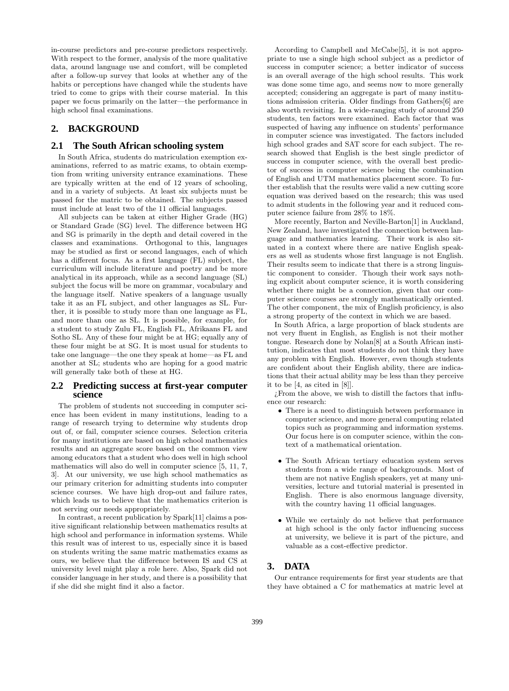in-course predictors and pre-course predictors respectively. With respect to the former, analysis of the more qualitative data, around language use and comfort, will be completed after a follow-up survey that looks at whether any of the habits or perceptions have changed while the students have tried to come to grips with their course material. In this paper we focus primarily on the latter—the performance in high school final examinations.

# **2. BACKGROUND**

#### **2.1 The South African schooling system**

In South Africa, students do matriculation exemption examinations, referred to as matric exams, to obtain exemption from writing university entrance examinations. These are typically written at the end of 12 years of schooling, and in a variety of subjects. At least six subjects must be passed for the matric to be obtained. The subjects passed must include at least two of the 11 official languages.

All subjects can be taken at either Higher Grade (HG) or Standard Grade (SG) level. The difference between HG and SG is primarily in the depth and detail covered in the classes and examinations. Orthogonal to this, languages may be studied as first or second languages, each of which has a different focus. As a first language (FL) subject, the curriculum will include literature and poetry and be more analytical in its approach, while as a second language (SL) subject the focus will be more on grammar, vocabulary and the language itself. Native speakers of a language usually take it as an FL subject, and other languages as SL. Further, it is possible to study more than one language as FL, and more than one as SL. It is possible, for example, for a student to study Zulu FL, English FL, Afrikaans FL and Sotho SL. Any of these four might be at HG; equally any of these four might be at SG. It is most usual for students to take one language—the one they speak at home—as FL and another at SL; students who are hoping for a good matric will generally take both of these at HG.

#### **2.2 Predicting success at first-year computer science**

The problem of students not succeeding in computer science has been evident in many institutions, leading to a range of research trying to determine why students drop out of, or fail, computer science courses. Selection criteria for many institutions are based on high school mathematics results and an aggregate score based on the common view among educators that a student who does well in high school mathematics will also do well in computer science [5, 11, 7, 3]. At our university, we use high school mathematics as our primary criterion for admitting students into computer science courses. We have high drop-out and failure rates, which leads us to believe that the mathematics criterion is not serving our needs appropriately.

In contrast, a recent publication by Spark[11] claims a positive significant relationship between mathematics results at high school and performance in information systems. While this result was of interest to us, especially since it is based on students writing the same matric mathematics exams as ours, we believe that the difference between IS and CS at university level might play a role here. Also, Spark did not consider language in her study, and there is a possibility that if she did she might find it also a factor.

According to Campbell and McCabe[5], it is not appropriate to use a single high school subject as a predictor of success in computer science; a better indicator of success is an overall average of the high school results. This work was done some time ago, and seems now to more generally accepted; considering an aggregate is part of many institutions admission criteria. Older findings from Gathers[6] are also worth revisiting. In a wide-ranging study of around 250 students, ten factors were examined. Each factor that was suspected of having any influence on students' performance in computer science was investigated. The factors included high school grades and SAT score for each subject. The research showed that English is the best single predictor of success in computer science, with the overall best predictor of success in computer science being the combination of English and UTM mathematics placement score. To further establish that the results were valid a new cutting score equation was derived based on the research; this was used to admit students in the following year and it reduced computer science failure from 28% to 18%.

More recently, Barton and Neville-Barton[1] in Auckland, New Zealand, have investigated the connection between language and mathematics learning. Their work is also situated in a context where there are native English speakers as well as students whose first language is not English. Their results seem to indicate that there is a strong linguistic component to consider. Though their work says nothing explicit about computer science, it is worth considering whether there might be a connection, given that our computer science courses are strongly mathematically oriented. The other component, the mix of English proficiency, is also a strong property of the context in which we are based.

In South Africa, a large proportion of black students are not very fluent in English, as English is not their mother tongue. Research done by Nolan[8] at a South African institution, indicates that most students do not think they have any problem with English. However, even though students are confident about their English ability, there are indications that their actual ability may be less than they perceive it to be [4, as cited in [8]].

¿From the above, we wish to distill the factors that influence our research:

- There is a need to distinguish between performance in computer science, and more general computing related topics such as programming and information systems. Our focus here is on computer science, within the context of a mathematical orientation.
- The South African tertiary education system serves students from a wide range of backgrounds. Most of them are not native English speakers, yet at many universities, lecture and tutorial material is presented in English. There is also enormous language diversity, with the country having 11 official languages.
- While we certainly do not believe that performance at high school is the only factor influencing success at university, we believe it is part of the picture, and valuable as a cost-effective predictor.

## **3. DATA**

Our entrance requirements for first year students are that they have obtained a C for mathematics at matric level at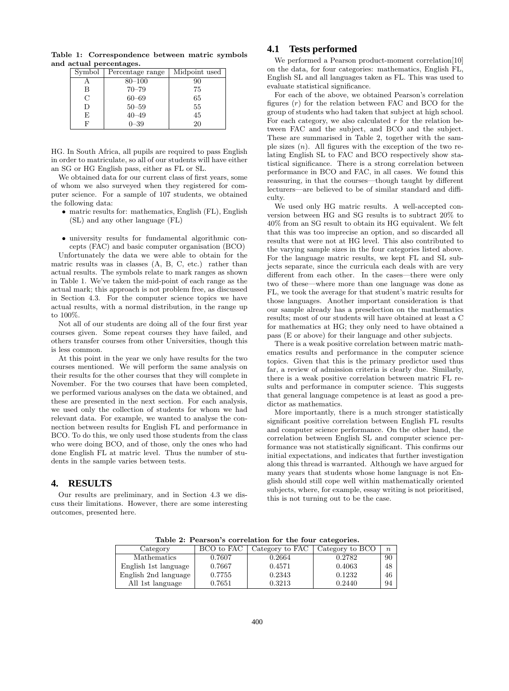Table 1: Correspondence between matric symbols and actual percentages.

| Symbol        | Percentage range | Midpoint used |
|---------------|------------------|---------------|
|               | $80 - 100$       | 90            |
| В             | $70 - 79$        | 75            |
| $\mathcal{C}$ | $60 - 69$        | 65            |
| D             | $50 - 59$        | 55            |
| E             | $40 - 49$        | 45            |
| F             | $0 - 39$         | 20            |

HG. In South Africa, all pupils are required to pass English in order to matriculate, so all of our students will have either an SG or HG English pass, either as FL or SL.

We obtained data for our current class of first years, some of whom we also surveyed when they registered for computer science. For a sample of 107 students, we obtained the following data:

- matric results for: mathematics, English (FL), English (SL) and any other language (FL)
- university results for fundamental algorithmic concepts (FAC) and basic computer organisation (BCO)

Unfortunately the data we were able to obtain for the matric results was in classes (A, B, C, etc.) rather than actual results. The symbols relate to mark ranges as shown in Table 1. We've taken the mid-point of each range as the actual mark; this approach is not problem free, as discussed in Section 4.3. For the computer science topics we have actual results, with a normal distribution, in the range up to 100%.

Not all of our students are doing all of the four first year courses given. Some repeat courses they have failed, and others transfer courses from other Universities, though this is less common.

At this point in the year we only have results for the two courses mentioned. We will perform the same analysis on their results for the other courses that they will complete in November. For the two courses that have been completed, we performed various analyses on the data we obtained, and these are presented in the next section. For each analysis, we used only the collection of students for whom we had relevant data. For example, we wanted to analyse the connection between results for English FL and performance in BCO. To do this, we only used those students from the class who were doing BCO, and of those, only the ones who had done English FL at matric level. Thus the number of students in the sample varies between tests.

## **4. RESULTS**

Our results are preliminary, and in Section 4.3 we discuss their limitations. However, there are some interesting outcomes, presented here.

### **4.1 Tests performed**

We performed a Pearson product-moment correlation[10] on the data, for four categories: mathematics, English FL, English SL and all languages taken as FL. This was used to evaluate statistical significance.

For each of the above, we obtained Pearson's correlation figures  $(r)$  for the relation between FAC and BCO for the group of students who had taken that subject at high school. For each category, we also calculated  $r$  for the relation between FAC and the subject, and BCO and the subject. These are summarised in Table 2, together with the sample sizes  $(n)$ . All figures with the exception of the two relating English SL to FAC and BCO respectively show statistical significance. There is a strong correlation between performance in BCO and FAC, in all cases. We found this reassuring, in that the courses—though taught by different lecturers—are believed to be of similar standard and difficulty.

We used only HG matric results. A well-accepted conversion between HG and SG results is to subtract 20% to 40% from an SG result to obtain its HG equivalent. We felt that this was too imprecise an option, and so discarded all results that were not at HG level. This also contributed to the varying sample sizes in the four categories listed above. For the language matric results, we kept FL and SL subjects separate, since the curricula each deals with are very different from each other. In the cases—there were only two of these—where more than one language was done as FL, we took the average for that student's matric results for those languages. Another important consideration is that our sample already has a preselection on the mathematics results; most of our students will have obtained at least a C for mathematics at HG; they only need to have obtained a pass (E or above) for their language and other subjects.

There is a weak positive correlation between matric mathematics results and performance in the computer science topics. Given that this is the primary predictor used thus far, a review of admission criteria is clearly due. Similarly, there is a weak positive correlation between matric FL results and performance in computer science. This suggests that general language competence is at least as good a predictor as mathematics.

More importantly, there is a much stronger statistically significant positive correlation between English FL results and computer science performance. On the other hand, the correlation between English SL and computer science performance was not statistically significant. This confirms our initial expectations, and indicates that further investigation along this thread is warranted. Although we have argued for many years that students whose home language is not English should still cope well within mathematically oriented subjects, where, for example, essay writing is not prioritised, this is not turning out to be the case.

Table 2: Pearson's correlation for the four categories.

| Category             | BCO to FAC | Category to FAC | Category to BCO | $\boldsymbol{n}$ |
|----------------------|------------|-----------------|-----------------|------------------|
| <b>Mathematics</b>   | 0.7607     | 0.2664          | 0.2782          | 90               |
| English 1st language | 0.7667     | 0.4571          | 0.4063          | 48               |
| English 2nd language | 0.7755     | 0.2343          | 0.1232          | 46               |
| All 1st language     | 0.7651     | 0.3213          | 0.2440          | 94               |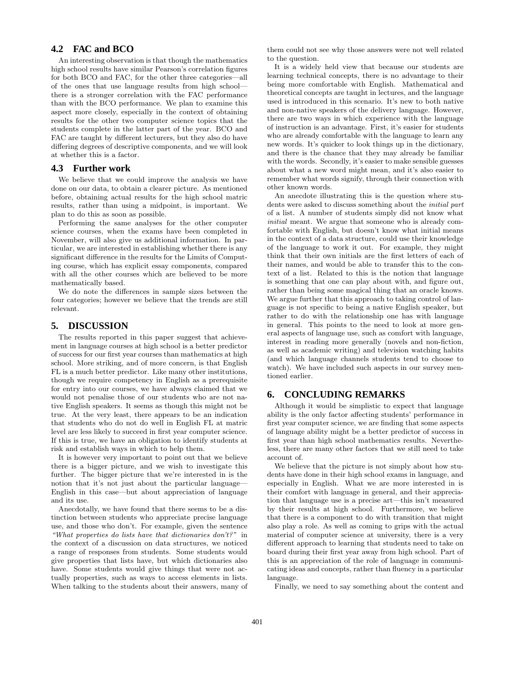# **4.2 FAC and BCO**

An interesting observation is that though the mathematics high school results have similar Pearson's correlation figures for both BCO and FAC, for the other three categories—all of the ones that use language results from high school there is a stronger correlation with the FAC performance than with the BCO performance. We plan to examine this aspect more closely, especially in the context of obtaining results for the other two computer science topics that the students complete in the latter part of the year. BCO and FAC are taught by different lecturers, but they also do have differing degrees of descriptive components, and we will look at whether this is a factor.

#### **4.3 Further work**

We believe that we could improve the analysis we have done on our data, to obtain a clearer picture. As mentioned before, obtaining actual results for the high school matric results, rather than using a midpoint, is important. We plan to do this as soon as possible.

Performing the same analyses for the other computer science courses, when the exams have been completed in November, will also give us additional information. In particular, we are interested in establishing whether there is any significant difference in the results for the Limits of Computing course, which has explicit essay components, compared with all the other courses which are believed to be more mathematically based.

We do note the differences in sample sizes between the four categories; however we believe that the trends are still relevant.

### **5. DISCUSSION**

The results reported in this paper suggest that achievement in language courses at high school is a better predictor of success for our first year courses than mathematics at high school. More striking, and of more concern, is that English FL is a much better predictor. Like many other institutions, though we require competency in English as a prerequisite for entry into our courses, we have always claimed that we would not penalise those of our students who are not native English speakers. It seems as though this might not be true. At the very least, there appears to be an indication that students who do not do well in English FL at matric level are less likely to succeed in first year computer science. If this is true, we have an obligation to identify students at risk and establish ways in which to help them.

It is however very important to point out that we believe there is a bigger picture, and we wish to investigate this further. The bigger picture that we're interested in is the notion that it's not just about the particular language— English in this case—but about appreciation of language and its use.

Anecdotally, we have found that there seems to be a distinction between students who appreciate precise language use, and those who don't. For example, given the sentence "What properties do lists have that dictionaries don't?" in the context of a discussion on data structures, we noticed a range of responses from students. Some students would give properties that lists have, but which dictionaries also have. Some students would give things that were not actually properties, such as ways to access elements in lists. When talking to the students about their answers, many of them could not see why those answers were not well related to the question.

It is a widely held view that because our students are learning technical concepts, there is no advantage to their being more comfortable with English. Mathematical and theoretical concepts are taught in lectures, and the language used is introduced in this scenario. It's new to both native and non-native speakers of the delivery language. However, there are two ways in which experience with the language of instruction is an advantage. First, it's easier for students who are already comfortable with the language to learn any new words. It's quicker to look things up in the dictionary, and there is the chance that they may already be familiar with the words. Secondly, it's easier to make sensible guesses about what a new word might mean, and it's also easier to remember what words signify, through their connection with other known words.

An anecdote illustrating this is the question where students were asked to discuss something about the initial part of a list. A number of students simply did not know what initial meant. We argue that someone who is already comfortable with English, but doesn't know what initial means in the context of a data structure, could use their knowledge of the language to work it out. For example, they might think that their own initials are the first letters of each of their names, and would be able to transfer this to the context of a list. Related to this is the notion that language is something that one can play about with, and figure out, rather than being some magical thing that an oracle knows. We argue further that this approach to taking control of language is not specific to being a native English speaker, but rather to do with the relationship one has with language in general. This points to the need to look at more general aspects of language use, such as comfort with language, interest in reading more generally (novels and non-fiction, as well as academic writing) and television watching habits (and which language channels students tend to choose to watch). We have included such aspects in our survey mentioned earlier.

## **6. CONCLUDING REMARKS**

Although it would be simplistic to expect that language ability is the only factor affecting students' performance in first year computer science, we are finding that some aspects of language ability might be a better predictor of success in first year than high school mathematics results. Nevertheless, there are many other factors that we still need to take account of.

We believe that the picture is not simply about how students have done in their high school exams in language, and especially in English. What we are more interested in is their comfort with language in general, and their appreciation that language use is a precise art—this isn't measured by their results at high school. Furthermore, we believe that there is a component to do with transition that might also play a role. As well as coming to grips with the actual material of computer science at university, there is a very different approach to learning that students need to take on board during their first year away from high school. Part of this is an appreciation of the role of language in communicating ideas and concepts, rather than fluency in a particular language.

Finally, we need to say something about the content and